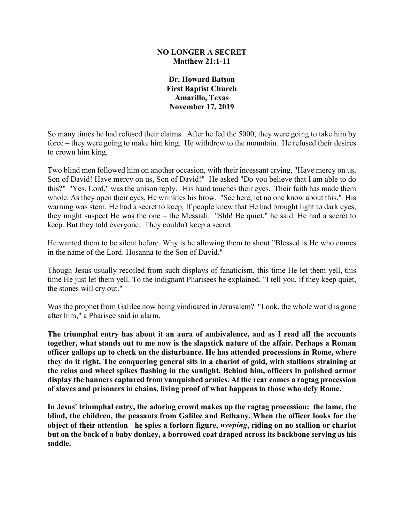## **NO LONGER A SECRET Matthew 21:1-11**

**Dr. Howard Batson First Baptist Church Amarillo, Texas November 17, 2019**

So many times he had refused their claims. After he fed the 5000, they were going to take him by force – they were going to make him king. He withdrew to the mountain. He refused their desires to crown him king.

Two blind men followed him on another occasion, with their incessant crying, "Have mercy on us, Son of David! Have mercy on us, Son of David!" He asked "Do you believe that I am able to do this?" "Yes, Lord," was the unison reply. His hand touches their eyes. Their faith has made them whole. As they open their eyes, He wrinkles his brow. "See here, let no one know about this." His warning was stern. He had a secret to keep. If people knew that He had brought light to dark eyes, they might suspect He was the one – the Messiah. "Shh! Be quiet," he said. He had a secret to keep. But they told everyone. They couldn't keep a secret.

He wanted them to be silent before. Why is he allowing them to shout "Blessed is He who comes in the name of the Lord. Hosanna to the Son of David."

Though Jesus usually recoiled from such displays of fanaticism, this time He let them yell, this time He just let them yell. To the indignant Pharisees he explained, "I tell you, if they keep quiet, the stones will cry out."

Was the prophet from Galilee now being vindicated in Jerusalem? "Look, the whole world is gone after him," a Pharisee said in alarm.

**The triumphal entry has about it an aura of ambivalence, and as I read all the accounts together, what stands out to me now is the slapstick nature of the affair. Perhaps a Roman officer gallops up to check on the disturbance. He has attended processions in Rome, where they do it right. The conquering general sits in a chariot of gold, with stallions straining at the reins and wheel spikes flashing in the sunlight. Behind him, officers in polished armor display the banners captured from vanquished armies. At the rear comes a ragtag procession of slaves and prisoners in chains, living proof of what happens to those who defy Rome.**

**In Jesus' triumphal entry, the adoring crowd makes up the ragtag procession: the lame, the blind, the children, the peasants from Galilee and Bethany. When the officer looks for the object of their attention he spies a forlorn figure,** *weeping***, riding on no stallion or chariot but on the back of a baby donkey, a borrowed coat draped across its backbone serving as his saddle.**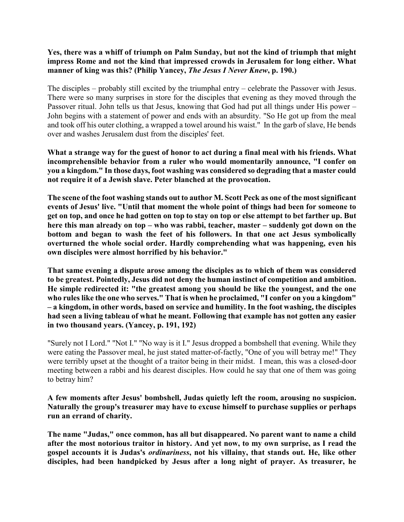## **Yes, there was a whiff of triumph on Palm Sunday, but not the kind of triumph that might impress Rome and not the kind that impressed crowds in Jerusalem for long either. What manner of king was this? (Philip Yancey,** *The Jesus I Never Knew***, p. 190.)**

The disciples – probably still excited by the triumphal entry – celebrate the Passover with Jesus. There were so many surprises in store for the disciples that evening as they moved through the Passover ritual. John tells us that Jesus, knowing that God had put all things under His power – John begins with a statement of power and ends with an absurdity. "So He got up from the meal and took off his outer clothing, a wrapped a towel around his waist." In the garb of slave, He bends over and washes Jerusalem dust from the disciples' feet.

**What a strange way for the guest of honor to act during a final meal with his friends. What incomprehensible behavior from a ruler who would momentarily announce, "I confer on you a kingdom." In those days, foot washing was considered so degrading that a master could not require it of a Jewish slave. Peter blanched at the provocation.**

**The scene of the foot washing stands out to author M. Scott Peck as one of the most significant events of Jesus' live. "Until that moment the whole point of things had been for someone to get on top, and once he had gotten on top to stay on top or else attempt to bet farther up. But here this man already on top – who was rabbi, teacher, master – suddenly got down on the bottom and began to wash the feet of his followers. In that one act Jesus symbolically overturned the whole social order. Hardly comprehending what was happening, even his own disciples were almost horrified by his behavior."**

**That same evening a dispute arose among the disciples as to which of them was considered to be greatest. Pointedly, Jesus did not deny the human instinct of competition and ambition. He simple redirected it: "the greatest among you should be like the youngest, and the one who rules like the one who serves." That is when he proclaimed, "I confer on you a kingdom" – a kingdom, in other words, based on service and humility. In the foot washing, the disciples had seen a living tableau of what he meant. Following that example has not gotten any easier in two thousand years. (Yancey, p. 191, 192)**

"Surely not I Lord." "Not I." "No way is it I." Jesus dropped a bombshell that evening. While they were eating the Passover meal, he just stated matter-of-factly, "One of you will betray me!" They were terribly upset at the thought of a traitor being in their midst. I mean, this was a closed-door meeting between a rabbi and his dearest disciples. How could he say that one of them was going to betray him?

**A few moments after Jesus' bombshell, Judas quietly left the room, arousing no suspicion. Naturally the group's treasurer may have to excuse himself to purchase supplies or perhaps run an errand of charity.**

**The name "Judas," once common, has all but disappeared. No parent want to name a child after the most notorious traitor in history. And yet now, to my own surprise, as I read the gospel accounts it is Judas's** *ordinariness***, not his villainy, that stands out. He, like other disciples, had been handpicked by Jesus after a long night of prayer. As treasurer, he**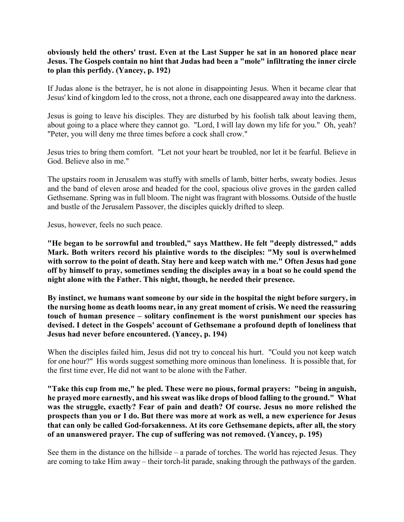## **obviously held the others' trust. Even at the Last Supper he sat in an honored place near Jesus. The Gospels contain no hint that Judas had been a "mole" infiltrating the inner circle to plan this perfidy. (Yancey, p. 192)**

If Judas alone is the betrayer, he is not alone in disappointing Jesus. When it became clear that Jesus' kind of kingdom led to the cross, not a throne, each one disappeared away into the darkness.

Jesus is going to leave his disciples. They are disturbed by his foolish talk about leaving them, about going to a place where they cannot go. "Lord, I will lay down my life for you." Oh, yeah? "Peter, you will deny me three times before a cock shall crow."

Jesus tries to bring them comfort. "Let not your heart be troubled, nor let it be fearful. Believe in God. Believe also in me."

The upstairs room in Jerusalem was stuffy with smells of lamb, bitter herbs, sweaty bodies. Jesus and the band of eleven arose and headed for the cool, spacious olive groves in the garden called Gethsemane. Spring was in full bloom. The night was fragrant with blossoms. Outside of the hustle and bustle of the Jerusalem Passover, the disciples quickly drifted to sleep.

Jesus, however, feels no such peace.

**"He began to be sorrowful and troubled," says Matthew. He felt "deeply distressed," adds Mark. Both writers record his plaintive words to the disciples: "My soul is overwhelmed with sorrow to the point of death. Stay here and keep watch with me." Often Jesus had gone off by himself to pray, sometimes sending the disciples away in a boat so he could spend the night alone with the Father. This night, though, he needed their presence.**

**By instinct, we humans want someone by our side in the hospital the night before surgery, in the nursing home as death looms near, in any great moment of crisis. We need the reassuring touch of human presence – solitary confinement is the worst punishment our species has devised. I detect in the Gospels' account of Gethsemane a profound depth of loneliness that Jesus had never before encountered. (Yancey, p. 194)**

When the disciples failed him, Jesus did not try to conceal his hurt. "Could you not keep watch for one hour?" His words suggest something more ominous than loneliness. It is possible that, for the first time ever, He did not want to be alone with the Father.

**"Take this cup from me," he pled. These were no pious, formal prayers: "being in anguish, he prayed more earnestly, and his sweat was like drops of blood falling to the ground." What was the struggle, exactly? Fear of pain and death? Of course. Jesus no more relished the prospects than you or I do. But there was more at work as well, a new experience for Jesus that can only be called God-forsakenness. At its core Gethsemane depicts, after all, the story of an unanswered prayer. The cup of suffering was not removed. (Yancey, p. 195)**

See them in the distance on the hillside – a parade of torches. The world has rejected Jesus. They are coming to take Him away – their torch-lit parade, snaking through the pathways of the garden.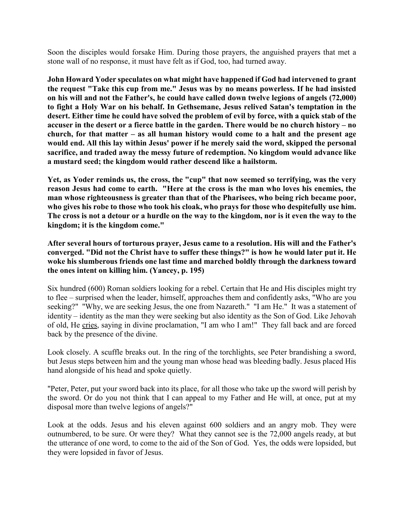Soon the disciples would forsake Him. During those prayers, the anguished prayers that met a stone wall of no response, it must have felt as if God, too, had turned away.

**John Howard Yoder speculates on what might have happened if God had intervened to grant the request "Take this cup from me." Jesus was by no means powerless. If he had insisted on his will and not the Father's, he could have called down twelve legions of angels (72,000) to fight a Holy War on his behalf. In Gethsemane, Jesus relived Satan's temptation in the desert. Either time he could have solved the problem of evil by force, with a quick stab of the accuser in the desert or a fierce battle in the garden. There would be no church history – no church, for that matter – as all human history would come to a halt and the present age would end. All this lay within Jesus' power if he merely said the word, skipped the personal sacrifice, and traded away the messy future of redemption. No kingdom would advance like a mustard seed; the kingdom would rather descend like a hailstorm.**

**Yet, as Yoder reminds us, the cross, the "cup" that now seemed so terrifying, was the very reason Jesus had come to earth. "Here at the cross is the man who loves his enemies, the man whose righteousness is greater than that of the Pharisees, who being rich became poor, who gives his robe to those who took his cloak, who prays for those who despitefully use him. The cross is not a detour or a hurdle on the way to the kingdom, nor is it even the way to the kingdom; it is the kingdom come."**

**After several hours of torturous prayer, Jesus came to a resolution. His will and the Father's converged. "Did not the Christ have to suffer these things?" is how he would later put it. He woke his slumberous friends one last time and marched boldly through the darkness toward the ones intent on killing him. (Yancey, p. 195)**

Six hundred (600) Roman soldiers looking for a rebel. Certain that He and His disciples might try to flee – surprised when the leader, himself, approaches them and confidently asks, "Who are you seeking?" "Why, we are seeking Jesus, the one from Nazareth." "I am He." It was a statement of identity – identity as the man they were seeking but also identity as the Son of God. Like Jehovah of old, He cries, saying in divine proclamation, "I am who I am!" They fall back and are forced back by the presence of the divine.

Look closely. A scuffle breaks out. In the ring of the torchlights, see Peter brandishing a sword, but Jesus steps between him and the young man whose head was bleeding badly. Jesus placed His hand alongside of his head and spoke quietly.

"Peter, Peter, put your sword back into its place, for all those who take up the sword will perish by the sword. Or do you not think that I can appeal to my Father and He will, at once, put at my disposal more than twelve legions of angels?"

Look at the odds. Jesus and his eleven against 600 soldiers and an angry mob. They were outnumbered, to be sure. Or were they? What they cannot see is the 72,000 angels ready, at but the utterance of one word, to come to the aid of the Son of God. Yes, the odds were lopsided, but they were lopsided in favor of Jesus.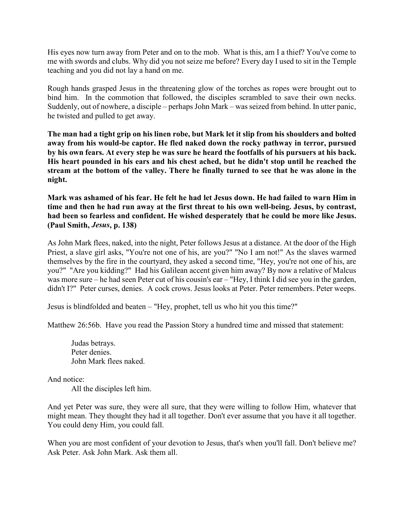His eyes now turn away from Peter and on to the mob. What is this, am I a thief? You've come to me with swords and clubs. Why did you not seize me before? Every day I used to sit in the Temple teaching and you did not lay a hand on me.

Rough hands grasped Jesus in the threatening glow of the torches as ropes were brought out to bind him. In the commotion that followed, the disciples scrambled to save their own necks. Suddenly, out of nowhere, a disciple – perhaps John Mark – was seized from behind. In utter panic, he twisted and pulled to get away.

**The man had a tight grip on his linen robe, but Mark let it slip from his shoulders and bolted away from his would-be captor. He fled naked down the rocky pathway in terror, pursued by his own fears. At every step he was sure he heard the footfalls of his pursuers at his back. His heart pounded in his ears and his chest ached, but he didn't stop until he reached the stream at the bottom of the valley. There he finally turned to see that he was alone in the night.**

**Mark was ashamed of his fear. He felt he had let Jesus down. He had failed to warn Him in time and then he had run away at the first threat to his own well-being. Jesus, by contrast, had been so fearless and confident. He wished desperately that he could be more like Jesus. (Paul Smith,** *Jesus***, p. 138)**

As John Mark flees, naked, into the night, Peter follows Jesus at a distance. At the door of the High Priest, a slave girl asks, "You're not one of his, are you?" "No I am not!" As the slaves warmed themselves by the fire in the courtyard, they asked a second time, "Hey, you're not one of his, are you?" "Are you kidding?" Had his Galilean accent given him away? By now a relative of Malcus was more sure – he had seen Peter cut of his cousin's ear – "Hey, I think I did see you in the garden, didn't I?" Peter curses, denies. A cock crows. Jesus looks at Peter. Peter remembers. Peter weeps.

Jesus is blindfolded and beaten – "Hey, prophet, tell us who hit you this time?"

Matthew 26:56b. Have you read the Passion Story a hundred time and missed that statement:

Judas betrays. Peter denies. John Mark flees naked.

And notice:

All the disciples left him.

And yet Peter was sure, they were all sure, that they were willing to follow Him, whatever that might mean. They thought they had it all together. Don't ever assume that you have it all together. You could deny Him, you could fall.

When you are most confident of your devotion to Jesus, that's when you'll fall. Don't believe me? Ask Peter. Ask John Mark. Ask them all.